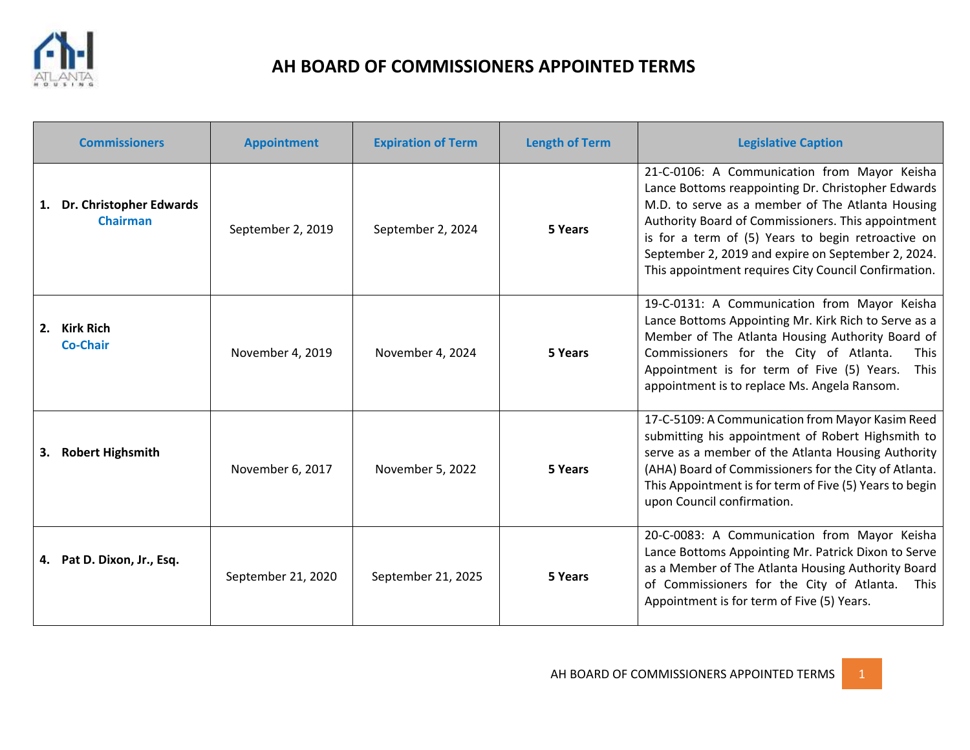

## **AH BOARD OF COMMISSIONERS APPOINTED TERMS**

| <b>Commissioners</b>                          | <b>Appointment</b> | <b>Expiration of Term</b> | <b>Length of Term</b> | <b>Legislative Caption</b>                                                                                                                                                                                                                                                                                                                                                       |
|-----------------------------------------------|--------------------|---------------------------|-----------------------|----------------------------------------------------------------------------------------------------------------------------------------------------------------------------------------------------------------------------------------------------------------------------------------------------------------------------------------------------------------------------------|
| 1. Dr. Christopher Edwards<br><b>Chairman</b> | September 2, 2019  | September 2, 2024         | 5 Years               | 21-C-0106: A Communication from Mayor Keisha<br>Lance Bottoms reappointing Dr. Christopher Edwards<br>M.D. to serve as a member of The Atlanta Housing<br>Authority Board of Commissioners. This appointment<br>is for a term of (5) Years to begin retroactive on<br>September 2, 2019 and expire on September 2, 2024.<br>This appointment requires City Council Confirmation. |
| 2. Kirk Rich<br><b>Co-Chair</b>               | November 4, 2019   | November 4, 2024          | 5 Years               | 19-C-0131: A Communication from Mayor Keisha<br>Lance Bottoms Appointing Mr. Kirk Rich to Serve as a<br>Member of The Atlanta Housing Authority Board of<br>Commissioners for the City of Atlanta.<br><b>This</b><br>Appointment is for term of Five (5) Years.<br>This<br>appointment is to replace Ms. Angela Ransom.                                                          |
| 3. Robert Highsmith                           | November 6, 2017   | November 5, 2022          | 5 Years               | 17-C-5109: A Communication from Mayor Kasim Reed<br>submitting his appointment of Robert Highsmith to<br>serve as a member of the Atlanta Housing Authority<br>(AHA) Board of Commissioners for the City of Atlanta.<br>This Appointment is for term of Five (5) Years to begin<br>upon Council confirmation.                                                                    |
| 4. Pat D. Dixon, Jr., Esq.                    | September 21, 2020 | September 21, 2025        | 5 Years               | 20-C-0083: A Communication from Mayor Keisha<br>Lance Bottoms Appointing Mr. Patrick Dixon to Serve<br>as a Member of The Atlanta Housing Authority Board<br>of Commissioners for the City of Atlanta.<br><b>This</b><br>Appointment is for term of Five (5) Years.                                                                                                              |